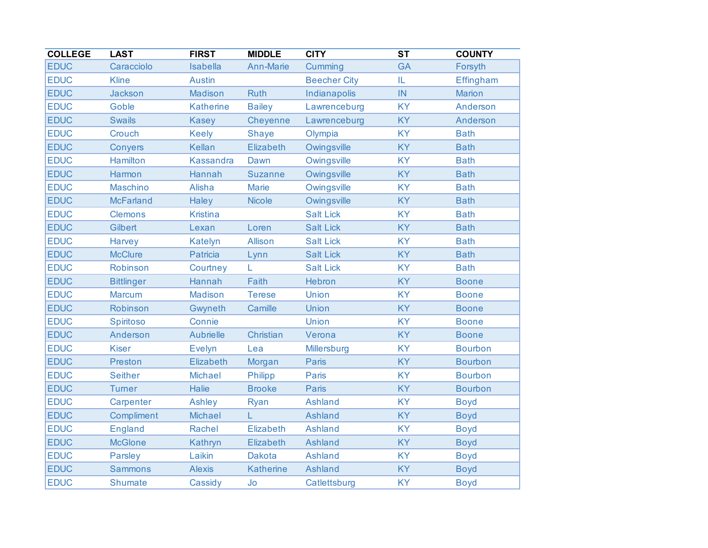| <b>COLLEGE</b> | <b>LAST</b>       | <b>FIRST</b>     | <b>MIDDLE</b>    | <b>CITY</b>         | $\overline{\text{ST}}$ | <b>COUNTY</b>  |
|----------------|-------------------|------------------|------------------|---------------------|------------------------|----------------|
| <b>EDUC</b>    | Caracciolo        | Isabella         | Ann-Marie        | Cumming             | <b>GA</b>              | Forsyth        |
| <b>EDUC</b>    | <b>Kline</b>      | <b>Austin</b>    |                  | <b>Beecher City</b> | IL                     | Effingham      |
| <b>EDUC</b>    | Jackson           | Madison          | <b>Ruth</b>      | Indianapolis        | IN                     | <b>Marion</b>  |
| <b>EDUC</b>    | Goble             | <b>Katherine</b> | <b>Bailey</b>    | Lawrenceburg        | <b>KY</b>              | Anderson       |
| <b>EDUC</b>    | <b>Swails</b>     | <b>Kasey</b>     | Cheyenne         | Lawrenceburg        | <b>KY</b>              | Anderson       |
| <b>EDUC</b>    | Crouch            | <b>Keely</b>     | <b>Shaye</b>     | Olympia             | <b>KY</b>              | <b>Bath</b>    |
| <b>EDUC</b>    | Conyers           | Kellan           | Elizabeth        | Owingsville         | <b>KY</b>              | <b>Bath</b>    |
| <b>EDUC</b>    | Hamilton          | <b>Kassandra</b> | Dawn             | Owingsville         | <b>KY</b>              | <b>Bath</b>    |
| <b>EDUC</b>    | Harmon            | Hannah           | <b>Suzanne</b>   | Owingsville         | <b>KY</b>              | <b>Bath</b>    |
| <b>EDUC</b>    | <b>Maschino</b>   | Alisha           | <b>Marie</b>     | Owingsville         | <b>KY</b>              | <b>Bath</b>    |
| <b>EDUC</b>    | <b>McFarland</b>  | Haley            | <b>Nicole</b>    | Owingsville         | KY                     | <b>Bath</b>    |
| <b>EDUC</b>    | <b>Clemons</b>    | <b>Kristina</b>  |                  | <b>Salt Lick</b>    | <b>KY</b>              | <b>Bath</b>    |
| <b>EDUC</b>    | Gilbert           | Lexan            | Loren            | <b>Salt Lick</b>    | <b>KY</b>              | <b>Bath</b>    |
| <b>EDUC</b>    | Harvey            | Katelyn          | <b>Allison</b>   | <b>Salt Lick</b>    | <b>KY</b>              | <b>Bath</b>    |
| <b>EDUC</b>    | <b>McClure</b>    | Patricia         | Lynn             | <b>Salt Lick</b>    | <b>KY</b>              | <b>Bath</b>    |
| <b>EDUC</b>    | Robinson          | Courtney         | L                | <b>Salt Lick</b>    | <b>KY</b>              | <b>Bath</b>    |
| <b>EDUC</b>    | <b>Bittlinger</b> | Hannah           | Faith            | Hebron              | <b>KY</b>              | <b>Boone</b>   |
| <b>EDUC</b>    | <b>Marcum</b>     | <b>Madison</b>   | <b>Terese</b>    | Union               | <b>KY</b>              | <b>Boone</b>   |
| <b>EDUC</b>    | Robinson          | Gwyneth          | Camille          | Union               | <b>KY</b>              | <b>Boone</b>   |
| <b>EDUC</b>    | Spiritoso         | Connie           |                  | Union               | <b>KY</b>              | <b>Boone</b>   |
| <b>EDUC</b>    | Anderson          | <b>Aubrielle</b> | Christian        | Verona              | <b>KY</b>              | <b>Boone</b>   |
| <b>EDUC</b>    | <b>Kiser</b>      | <b>Evelyn</b>    | Lea              | Millersburg         | <b>KY</b>              | <b>Bourbon</b> |
| <b>EDUC</b>    | Preston           | Elizabeth        | Morgan           | Paris               | <b>KY</b>              | <b>Bourbon</b> |
| <b>EDUC</b>    | <b>Seither</b>    | Michael          | Philipp          | <b>Paris</b>        | <b>KY</b>              | <b>Bourbon</b> |
| <b>EDUC</b>    | <b>Turner</b>     | <b>Halie</b>     | <b>Brooke</b>    | Paris               | <b>KY</b>              | <b>Bourbon</b> |
| <b>EDUC</b>    | Carpenter         | Ashley           | Ryan             | <b>Ashland</b>      | <b>KY</b>              | <b>Boyd</b>    |
| <b>EDUC</b>    | Compliment        | <b>Michael</b>   | L                | <b>Ashland</b>      | <b>KY</b>              | <b>Boyd</b>    |
| <b>EDUC</b>    | <b>England</b>    | Rachel           | <b>Elizabeth</b> | Ashland             | <b>KY</b>              | <b>Boyd</b>    |
| <b>EDUC</b>    | <b>McGlone</b>    | Kathryn          | Elizabeth        | Ashland             | <b>KY</b>              | <b>Boyd</b>    |
| <b>EDUC</b>    | Parsley           | Laikin           | <b>Dakota</b>    | <b>Ashland</b>      | <b>KY</b>              | <b>Boyd</b>    |
| <b>EDUC</b>    | <b>Sammons</b>    | <b>Alexis</b>    | <b>Katherine</b> | <b>Ashland</b>      | <b>KY</b>              | <b>Boyd</b>    |
| <b>EDUC</b>    | <b>Shumate</b>    | Cassidy          | Jo               | Catlettsburg        | <b>KY</b>              | <b>Boyd</b>    |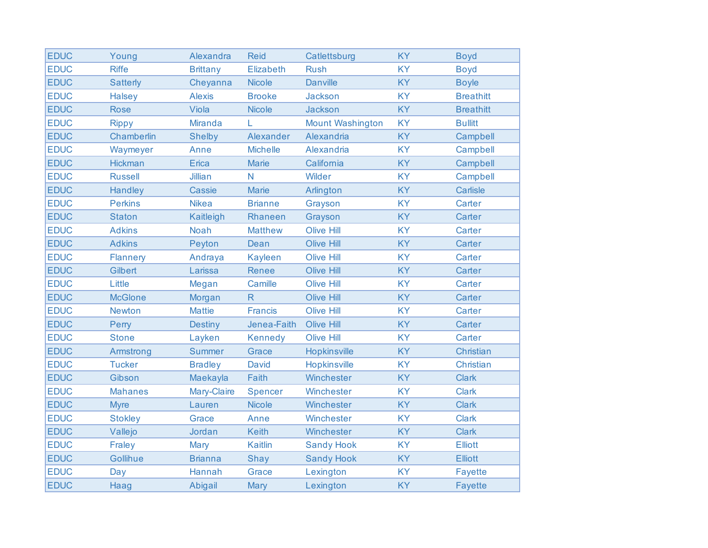| <b>EDUC</b> | Young           | Alexandra       | <b>Reid</b>      | Catlettsburg            | <b>KY</b> | <b>Boyd</b>      |
|-------------|-----------------|-----------------|------------------|-------------------------|-----------|------------------|
| <b>EDUC</b> | <b>Riffe</b>    | <b>Brittany</b> | <b>Elizabeth</b> | <b>Rush</b>             | <b>KY</b> | <b>Boyd</b>      |
| <b>EDUC</b> | <b>Satterly</b> | Cheyanna        | <b>Nicole</b>    | <b>Danville</b>         | KY        | <b>Boyle</b>     |
| <b>EDUC</b> | <b>Halsey</b>   | <b>Alexis</b>   | <b>Brooke</b>    | <b>Jackson</b>          | <b>KY</b> | <b>Breathitt</b> |
| <b>EDUC</b> | <b>Rose</b>     | Viola           | <b>Nicole</b>    | Jackson                 | <b>KY</b> | <b>Breathitt</b> |
| <b>EDUC</b> | <b>Rippy</b>    | <b>Miranda</b>  | L                | <b>Mount Washington</b> | <b>KY</b> | <b>Bullitt</b>   |
| <b>EDUC</b> | Chamberlin      | <b>Shelby</b>   | Alexander        | Alexandria              | <b>KY</b> | Campbell         |
| <b>EDUC</b> | Waymeyer        | Anne            | <b>Michelle</b>  | Alexandria              | <b>KY</b> | Campbell         |
| <b>EDUC</b> | <b>Hickman</b>  | Erica           | <b>Marie</b>     | California              | <b>KY</b> | Campbell         |
| <b>EDUC</b> | <b>Russell</b>  | Jillian         | N                | Wilder                  | <b>KY</b> | Campbell         |
| <b>EDUC</b> | Handley         | <b>Cassie</b>   | <b>Marie</b>     | Arlington               | <b>KY</b> | Carlisle         |
| <b>EDUC</b> | <b>Perkins</b>  | <b>Nikea</b>    | <b>Brianne</b>   | Grayson                 | <b>KY</b> | Carter           |
| <b>EDUC</b> | <b>Staton</b>   | Kaitleigh       | Rhaneen          | Grayson                 | <b>KY</b> | Carter           |
| <b>EDUC</b> | <b>Adkins</b>   | <b>Noah</b>     | <b>Matthew</b>   | <b>Olive Hill</b>       | <b>KY</b> | Carter           |
| <b>EDUC</b> | <b>Adkins</b>   | Peyton          | Dean             | <b>Olive Hill</b>       | KY        | Carter           |
| <b>EDUC</b> | <b>Flannery</b> | Andraya         | <b>Kayleen</b>   | <b>Olive Hill</b>       | <b>KY</b> | Carter           |
| <b>EDUC</b> | Gilbert         | Larissa         | <b>Renee</b>     | <b>Olive Hill</b>       | <b>KY</b> | Carter           |
| <b>EDUC</b> | Little          | Megan           | Camille          | <b>Olive Hill</b>       | <b>KY</b> | Carter           |
| <b>EDUC</b> | <b>McGlone</b>  | Morgan          | $\mathsf{R}$     | <b>Olive Hill</b>       | KY        | Carter           |
| <b>EDUC</b> | <b>Newton</b>   | <b>Mattie</b>   | <b>Francis</b>   | <b>Olive Hill</b>       | <b>KY</b> | Carter           |
| <b>EDUC</b> | Perry           | <b>Destiny</b>  | Jenea-Faith      | <b>Olive Hill</b>       | <b>KY</b> | Carter           |
| <b>EDUC</b> | <b>Stone</b>    | Layken          | <b>Kennedy</b>   | <b>Olive Hill</b>       | <b>KY</b> | Carter           |
| <b>EDUC</b> | Armstrong       | <b>Summer</b>   | Grace            | <b>Hopkinsville</b>     | <b>KY</b> | Christian        |
| <b>EDUC</b> | <b>Tucker</b>   | <b>Bradley</b>  | <b>David</b>     | Hopkinsville            | <b>KY</b> | Christian        |
| <b>EDUC</b> | Gibson          | Maekayla        | Faith            | Winchester              | <b>KY</b> | <b>Clark</b>     |
| <b>EDUC</b> | <b>Mahanes</b>  | Mary-Claire     | Spencer          | Winchester              | <b>KY</b> | <b>Clark</b>     |
| <b>EDUC</b> | <b>Myre</b>     | Lauren          | <b>Nicole</b>    | Winchester              | <b>KY</b> | <b>Clark</b>     |
| <b>EDUC</b> | <b>Stokley</b>  | Grace           | Anne             | Winchester              | <b>KY</b> | <b>Clark</b>     |
| <b>EDUC</b> | Vallejo         | Jordan          | <b>Keith</b>     | Winchester              | <b>KY</b> | <b>Clark</b>     |
| <b>EDUC</b> | Fraley          | Mary            | <b>Kaitlin</b>   | <b>Sandy Hook</b>       | <b>KY</b> | <b>Elliott</b>   |
| <b>EDUC</b> | Gollihue        | <b>Brianna</b>  | Shay             | <b>Sandy Hook</b>       | <b>KY</b> | <b>Elliott</b>   |
| <b>EDUC</b> | Day             | Hannah          | Grace            | Lexington               | <b>KY</b> | <b>Fayette</b>   |
| <b>EDUC</b> | Haag            | Abigail         | Mary             | Lexington               | <b>KY</b> | <b>Fayette</b>   |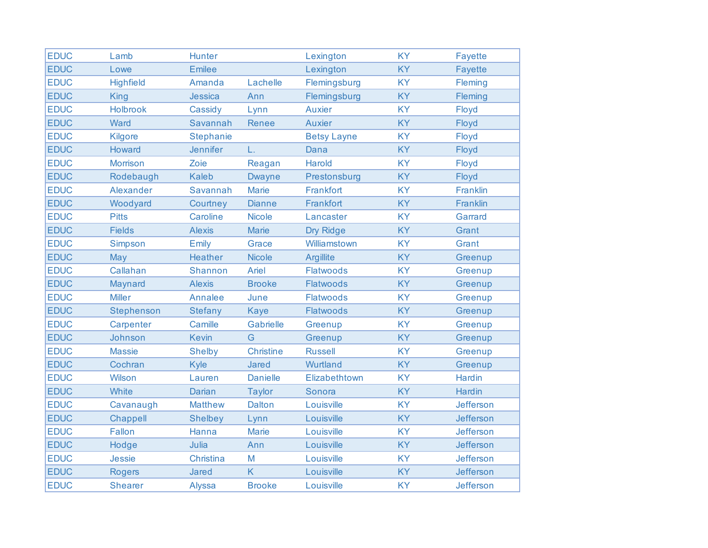| <b>EDUC</b> | Lamb             | <b>Hunter</b>    |                  | Lexington          | <b>KY</b> | <b>Fayette</b> |
|-------------|------------------|------------------|------------------|--------------------|-----------|----------------|
| <b>EDUC</b> | Lowe             | <b>Emilee</b>    |                  | Lexington          | <b>KY</b> | <b>Fayette</b> |
| <b>EDUC</b> | <b>Highfield</b> | Amanda           | Lachelle         | Flemingsburg       | <b>KY</b> | Fleming        |
| <b>EDUC</b> | <b>King</b>      | Jessica          | Ann              | Flemingsburg       | KY        | Fleming        |
| <b>EDUC</b> | Holbrook         | Cassidy          | Lynn             | <b>Auxier</b>      | <b>KY</b> | Floyd          |
| <b>EDUC</b> | Ward             | Savannah         | <b>Renee</b>     | <b>Auxier</b>      | <b>KY</b> | Floyd          |
| <b>EDUC</b> | <b>Kilgore</b>   | <b>Stephanie</b> |                  | <b>Betsy Layne</b> | <b>KY</b> | Floyd          |
| <b>EDUC</b> | Howard           | <b>Jennifer</b>  | L.               | Dana               | <b>KY</b> | Floyd          |
| <b>EDUC</b> | <b>Morrison</b>  | Zoie             | Reagan           | Harold             | <b>KY</b> | Floyd          |
| <b>EDUC</b> | Rodebaugh        | <b>Kaleb</b>     | <b>Dwayne</b>    | Prestonsburg       | <b>KY</b> | Floyd          |
| <b>EDUC</b> | Alexander        | Savannah         | <b>Marie</b>     | Frankfort          | <b>KY</b> | Franklin       |
| <b>EDUC</b> | Woodyard         | Courtney         | <b>Dianne</b>    | Frankfort          | <b>KY</b> | Franklin       |
| <b>EDUC</b> | <b>Pitts</b>     | Caroline         | <b>Nicole</b>    | Lancaster          | <b>KY</b> | Garrard        |
| <b>EDUC</b> | <b>Fields</b>    | <b>Alexis</b>    | <b>Marie</b>     | Dry Ridge          | <b>KY</b> | Grant          |
| <b>EDUC</b> | Simpson          | Emily            | Grace            | Williamstown       | <b>KY</b> | Grant          |
| <b>EDUC</b> | May              | <b>Heather</b>   | <b>Nicole</b>    | <b>Argillite</b>   | <b>KY</b> | Greenup        |
| <b>EDUC</b> | Callahan         | Shannon          | Ariel            | <b>Flatwoods</b>   | <b>KY</b> | Greenup        |
| <b>EDUC</b> | Maynard          | <b>Alexis</b>    | <b>Brooke</b>    | <b>Flatwoods</b>   | <b>KY</b> | Greenup        |
| <b>EDUC</b> | <b>Miller</b>    | <b>Annalee</b>   | June             | <b>Flatwoods</b>   | <b>KY</b> | Greenup        |
| <b>EDUC</b> | Stephenson       | <b>Stefany</b>   | <b>Kaye</b>      | <b>Flatwoods</b>   | <b>KY</b> | Greenup        |
| <b>EDUC</b> | Carpenter        | Camille          | <b>Gabrielle</b> | Greenup            | <b>KY</b> | Greenup        |
| <b>EDUC</b> | Johnson          | <b>Kevin</b>     | G                | Greenup            | KY        | Greenup        |
| <b>EDUC</b> | <b>Massie</b>    | <b>Shelby</b>    | <b>Christine</b> | <b>Russell</b>     | <b>KY</b> | Greenup        |
| <b>EDUC</b> | Cochran          | Kyle             | Jared            | Wurtland           | <b>KY</b> | Greenup        |
| <b>EDUC</b> | Wilson           | Lauren           | <b>Danielle</b>  | Elizabethtown      | <b>KY</b> | <b>Hardin</b>  |
| <b>EDUC</b> | White            | <b>Darian</b>    | <b>Taylor</b>    | Sonora             | <b>KY</b> | <b>Hardin</b>  |
| <b>EDUC</b> | Cavanaugh        | <b>Matthew</b>   | <b>Dalton</b>    | Louisville         | <b>KY</b> | Jefferson      |
| <b>EDUC</b> | Chappell         | <b>Shelbey</b>   | Lynn             | Louisville         | <b>KY</b> | Jefferson      |
| <b>EDUC</b> | Fallon           | Hanna            | <b>Marie</b>     | Louisville         | <b>KY</b> | Jefferson      |
| <b>EDUC</b> | Hodge            | Julia            | Ann              | Louisville         | <b>KY</b> | Jefferson      |
| <b>EDUC</b> | Jessie           | Christina        | M                | Louisville         | <b>KY</b> | Jefferson      |
| <b>EDUC</b> | <b>Rogers</b>    | Jared            | K                | Louisville         | <b>KY</b> | Jefferson      |
| <b>EDUC</b> | <b>Shearer</b>   | <b>Alyssa</b>    | <b>Brooke</b>    | Louisville         | <b>KY</b> | Jefferson      |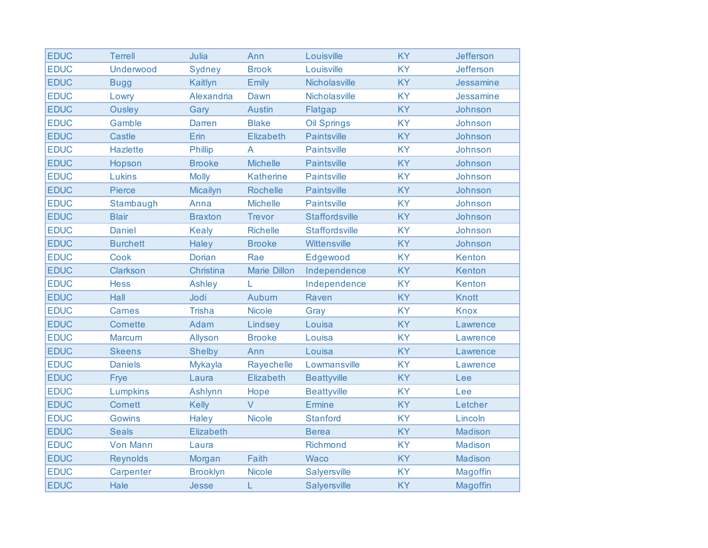| <b>EDUC</b> | <b>Terrell</b>   | Julia            | Ann                 | Louisville            | <b>KY</b> | Jefferson        |
|-------------|------------------|------------------|---------------------|-----------------------|-----------|------------------|
| <b>EDUC</b> | <b>Underwood</b> | <b>Sydney</b>    | <b>Brook</b>        | Louisville            | <b>KY</b> | <b>Jefferson</b> |
| <b>EDUC</b> | <b>Bugg</b>      | Kaitlyn          | <b>Emily</b>        | Nicholasville         | KY        | Jessamine        |
| <b>EDUC</b> | Lowry            | Alexandria       | Dawn                | Nicholasville         | <b>KY</b> | Jessamine        |
| <b>EDUC</b> | <b>Ousley</b>    | Gary             | <b>Austin</b>       | Flatgap               | <b>KY</b> | Johnson          |
| <b>EDUC</b> | Gamble           | <b>Darren</b>    | <b>Blake</b>        | <b>Oil Springs</b>    | <b>KY</b> | Johnson          |
| <b>EDUC</b> | <b>Castle</b>    | Erin             | Elizabeth           | <b>Paintsville</b>    | <b>KY</b> | Johnson          |
| <b>EDUC</b> | <b>Hazlette</b>  | <b>Phillip</b>   | A                   | <b>Paintsville</b>    | <b>KY</b> | Johnson          |
| <b>EDUC</b> | Hopson           | <b>Brooke</b>    | <b>Michelle</b>     | <b>Paintsville</b>    | <b>KY</b> | Johnson          |
| <b>EDUC</b> | Lukins           | <b>Molly</b>     | <b>Katherine</b>    | <b>Paintsville</b>    | <b>KY</b> | Johnson          |
| <b>EDUC</b> | <b>Pierce</b>    | <b>Micailyn</b>  | <b>Rochelle</b>     | <b>Paintsville</b>    | <b>KY</b> | Johnson          |
| <b>EDUC</b> | Stambaugh        | Anna             | <b>Michelle</b>     | <b>Paintsville</b>    | <b>KY</b> | Johnson          |
| <b>EDUC</b> | <b>Blair</b>     | <b>Braxton</b>   | <b>Trevor</b>       | <b>Staffordsville</b> | <b>KY</b> | Johnson          |
| <b>EDUC</b> | <b>Daniel</b>    | <b>Kealy</b>     | <b>Richelle</b>     | <b>Staffordsville</b> | <b>KY</b> | Johnson          |
| <b>EDUC</b> | <b>Burchett</b>  | Haley            | <b>Brooke</b>       | Wittensville          | <b>KY</b> | Johnson          |
| <b>EDUC</b> | <b>Cook</b>      | <b>Dorian</b>    | Rae                 | Edgewood              | <b>KY</b> | Kenton           |
| <b>EDUC</b> | Clarkson         | Christina        | <b>Marie Dillon</b> | Independence          | <b>KY</b> | Kenton           |
| <b>EDUC</b> | <b>Hess</b>      | <b>Ashley</b>    | L                   | Independence          | <b>KY</b> | Kenton           |
| <b>EDUC</b> | Hall             | Jodi             | Auburn              | Raven                 | <b>KY</b> | <b>Knott</b>     |
| <b>EDUC</b> | Carnes           | <b>Trisha</b>    | <b>Nicole</b>       | Gray                  | <b>KY</b> | <b>Knox</b>      |
| <b>EDUC</b> | Cornette         | Adam             | Lindsey             | Louisa                | <b>KY</b> | Lawrence         |
| <b>EDUC</b> | <b>Marcum</b>    | Allyson          | <b>Brooke</b>       | Louisa                | <b>KY</b> | Lawrence         |
| <b>EDUC</b> | <b>Skeens</b>    | <b>Shelby</b>    | Ann                 | Louisa                | <b>KY</b> | Lawrence         |
| <b>EDUC</b> | <b>Daniels</b>   | <b>Mykayla</b>   | Rayechelle          | Lowmansville          | <b>KY</b> | Lawrence         |
| <b>EDUC</b> | Frye             | Laura            | Elizabeth           | <b>Beattyville</b>    | <b>KY</b> | Lee              |
| <b>EDUC</b> | Lumpkins         | <b>Ashlynn</b>   | Hope                | <b>Beattyville</b>    | <b>KY</b> | Lee              |
| <b>EDUC</b> | Cornett          | <b>Kelly</b>     | $\vee$              | <b>Ermine</b>         | <b>KY</b> | Letcher          |
| <b>EDUC</b> | <b>Gowins</b>    | Haley            | <b>Nicole</b>       | <b>Stanford</b>       | <b>KY</b> | Lincoln          |
| <b>EDUC</b> | <b>Seals</b>     | <b>Elizabeth</b> |                     | <b>Berea</b>          | <b>KY</b> | <b>Madison</b>   |
| <b>EDUC</b> | <b>Von Mann</b>  | Laura            |                     | Richmond              | <b>KY</b> | <b>Madison</b>   |
| <b>EDUC</b> | <b>Reynolds</b>  | Morgan           | Faith               | <b>Waco</b>           | <b>KY</b> | Madison          |
| <b>EDUC</b> | Carpenter        | <b>Brooklyn</b>  | <b>Nicole</b>       | Salyersville          | <b>KY</b> | Magoffin         |
| <b>EDUC</b> | Hale             | Jesse            | L                   | <b>Salyersville</b>   | <b>KY</b> | Magoffin         |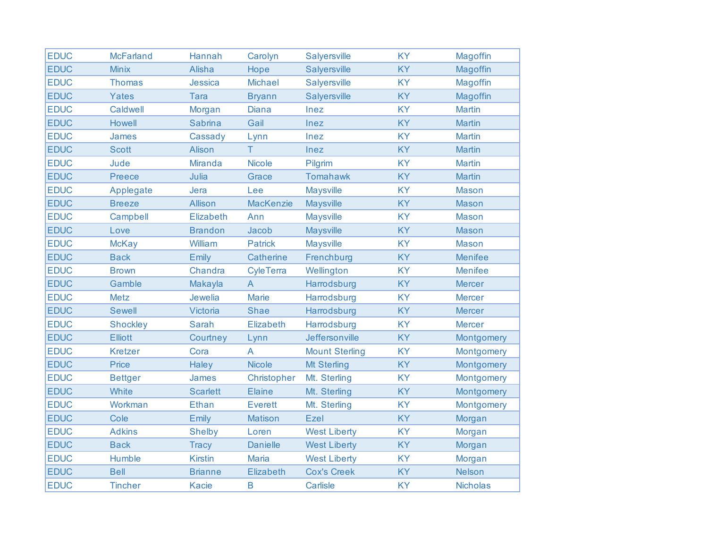| <b>EDUC</b> | <b>McFarland</b> | Hannah          | Carolyn          | Salyersville          | <b>KY</b> | Magoffin        |
|-------------|------------------|-----------------|------------------|-----------------------|-----------|-----------------|
| <b>EDUC</b> | <b>Minix</b>     | Alisha          | Hope             | Salyersville          | <b>KY</b> | Magoffin        |
| <b>EDUC</b> | <b>Thomas</b>    | Jessica         | <b>Michael</b>   | Salyersville          | <b>KY</b> | Magoffin        |
| <b>EDUC</b> | <b>Yates</b>     | <b>Tara</b>     | <b>Bryann</b>    | Salyersville          | <b>KY</b> | Magoffin        |
| <b>EDUC</b> | Caldwell         | Morgan          | <b>Diana</b>     | Inez                  | <b>KY</b> | <b>Martin</b>   |
| <b>EDUC</b> | <b>Howell</b>    | <b>Sabrina</b>  | Gail             | Inez                  | <b>KY</b> | <b>Martin</b>   |
| <b>EDUC</b> | James            | Cassady         | Lynn             | Inez                  | <b>KY</b> | <b>Martin</b>   |
| <b>EDUC</b> | <b>Scott</b>     | Alison          | Τ                | Inez                  | <b>KY</b> | <b>Martin</b>   |
| <b>EDUC</b> | Jude             | <b>Miranda</b>  | <b>Nicole</b>    | Pilgrim               | <b>KY</b> | <b>Martin</b>   |
| <b>EDUC</b> | Preece           | Julia           | Grace            | <b>Tomahawk</b>       | <b>KY</b> | <b>Martin</b>   |
| <b>EDUC</b> | Applegate        | Jera            | Lee              | <b>Maysville</b>      | <b>KY</b> | <b>Mason</b>    |
| <b>EDUC</b> | <b>Breeze</b>    | <b>Allison</b>  | <b>MacKenzie</b> | <b>Maysville</b>      | <b>KY</b> | <b>Mason</b>    |
| <b>EDUC</b> | Campbell         | Elizabeth       | Ann              | <b>Maysville</b>      | <b>KY</b> | <b>Mason</b>    |
| <b>EDUC</b> | Love             | <b>Brandon</b>  | Jacob            | <b>Maysville</b>      | <b>KY</b> | <b>Mason</b>    |
| <b>EDUC</b> | <b>McKay</b>     | William         | <b>Patrick</b>   | <b>Maysville</b>      | <b>KY</b> | <b>Mason</b>    |
| <b>EDUC</b> | <b>Back</b>      | Emily           | <b>Catherine</b> | Frenchburg            | <b>KY</b> | <b>Menifee</b>  |
| <b>EDUC</b> | <b>Brown</b>     | Chandra         | <b>CyleTerra</b> | Wellington            | <b>KY</b> | <b>Menifee</b>  |
| <b>EDUC</b> | Gamble           | Makayla         | $\mathsf{A}$     | Harrodsburg           | <b>KY</b> | <b>Mercer</b>   |
| <b>EDUC</b> | <b>Metz</b>      | Jewelia         | <b>Marie</b>     | Harrodsburg           | <b>KY</b> | <b>Mercer</b>   |
| <b>EDUC</b> | <b>Sewell</b>    | Victoria        | Shae             | Harrodsburg           | <b>KY</b> | <b>Mercer</b>   |
| <b>EDUC</b> | <b>Shockley</b>  | <b>Sarah</b>    | Elizabeth        | Harrodsburg           | <b>KY</b> | <b>Mercer</b>   |
| <b>EDUC</b> | <b>Elliott</b>   | Courtney        | Lynn             | Jeffersonville        | <b>KY</b> | Montgomery      |
| <b>EDUC</b> | <b>Kretzer</b>   | Cora            | A                | <b>Mount Sterling</b> | <b>KY</b> | Montgomery      |
| <b>EDUC</b> | Price            | <b>Haley</b>    | <b>Nicole</b>    | <b>Mt Sterling</b>    | <b>KY</b> | Montgomery      |
| <b>EDUC</b> | <b>Bettger</b>   | James           | Christopher      | Mt. Sterling          | <b>KY</b> | Montgomery      |
| <b>EDUC</b> | White            | <b>Scarlett</b> | <b>Elaine</b>    | Mt. Sterling          | <b>KY</b> | Montgomery      |
| <b>EDUC</b> | Workman          | <b>Ethan</b>    | <b>Everett</b>   | Mt. Sterling          | <b>KY</b> | Montgomery      |
| <b>EDUC</b> | Cole             | Emily           | <b>Matison</b>   | Ezel                  | <b>KY</b> | Morgan          |
| <b>EDUC</b> | <b>Adkins</b>    | <b>Shelby</b>   | Loren            | <b>West Liberty</b>   | <b>KY</b> | Morgan          |
| <b>EDUC</b> | <b>Back</b>      | <b>Tracy</b>    | <b>Danielle</b>  | <b>West Liberty</b>   | <b>KY</b> | Morgan          |
| <b>EDUC</b> | Humble           | <b>Kirstin</b>  | <b>Maria</b>     | <b>West Liberty</b>   | <b>KY</b> | Morgan          |
| <b>EDUC</b> | <b>Bell</b>      | <b>Brianne</b>  | <b>Elizabeth</b> | <b>Cox's Creek</b>    | <b>KY</b> | <b>Nelson</b>   |
| <b>EDUC</b> | <b>Tincher</b>   | <b>Kacie</b>    | $\mathsf B$      | Carlisle              | <b>KY</b> | <b>Nicholas</b> |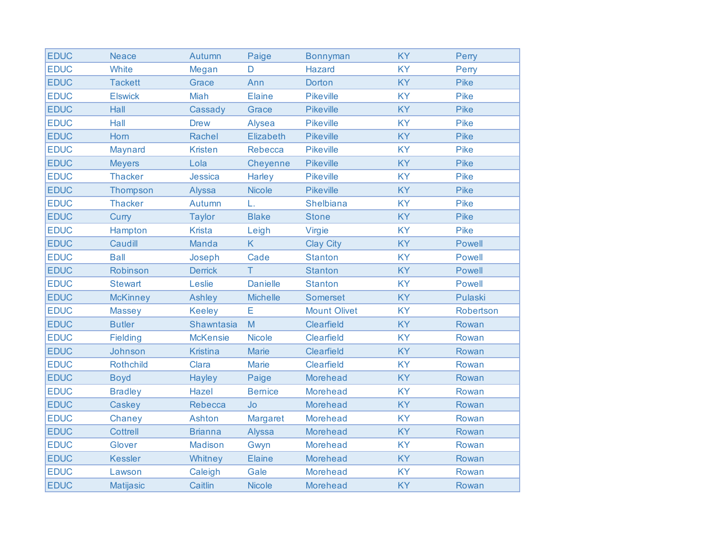| <b>EDUC</b> | <b>Neace</b>     | Autumn          | Paige           | <b>Bonnyman</b>     | <b>KY</b> | Perry         |
|-------------|------------------|-----------------|-----------------|---------------------|-----------|---------------|
| <b>EDUC</b> | White            | Megan           | D               | <b>Hazard</b>       | <b>KY</b> | Perry         |
| <b>EDUC</b> | <b>Tackett</b>   | Grace           | Ann             | Dorton              | <b>KY</b> | <b>Pike</b>   |
| <b>EDUC</b> | <b>Elswick</b>   | <b>Miah</b>     | Elaine          | <b>Pikeville</b>    | <b>KY</b> | <b>Pike</b>   |
| <b>EDUC</b> | Hall             | Cassady         | Grace           | <b>Pikeville</b>    | KY        | Pike          |
| <b>EDUC</b> | Hall             | <b>Drew</b>     | Alysea          | <b>Pikeville</b>    | <b>KY</b> | <b>Pike</b>   |
| <b>EDUC</b> | Horn             | Rachel          | Elizabeth       | <b>Pikeville</b>    | KY        | Pike          |
| <b>EDUC</b> | Maynard          | <b>Kristen</b>  | Rebecca         | <b>Pikeville</b>    | <b>KY</b> | Pike          |
| <b>EDUC</b> | <b>Meyers</b>    | Lola            | Cheyenne        | Pikeville           | <b>KY</b> | <b>Pike</b>   |
| <b>EDUC</b> | <b>Thacker</b>   | Jessica         | Harley          | <b>Pikeville</b>    | <b>KY</b> | <b>Pike</b>   |
| <b>EDUC</b> | Thompson         | Alyssa          | <b>Nicole</b>   | <b>Pikeville</b>    | KY        | Pike          |
| <b>EDUC</b> | <b>Thacker</b>   | Autumn          | L.              | <b>Shelbiana</b>    | <b>KY</b> | <b>Pike</b>   |
| <b>EDUC</b> | Curry            | <b>Taylor</b>   | <b>Blake</b>    | <b>Stone</b>        | <b>KY</b> | Pike          |
| <b>EDUC</b> | Hampton          | <b>Krista</b>   | Leigh           | Virgie              | <b>KY</b> | <b>Pike</b>   |
| <b>EDUC</b> | Caudill          | Manda           | K               | <b>Clay City</b>    | <b>KY</b> | <b>Powell</b> |
| <b>EDUC</b> | <b>Ball</b>      | Joseph          | Cade            | <b>Stanton</b>      | <b>KY</b> | <b>Powell</b> |
| <b>EDUC</b> | Robinson         | <b>Derrick</b>  | T.              | <b>Stanton</b>      | <b>KY</b> | <b>Powell</b> |
| <b>EDUC</b> | <b>Stewart</b>   | Leslie          | <b>Danielle</b> | <b>Stanton</b>      | <b>KY</b> | <b>Powell</b> |
| <b>EDUC</b> | <b>McKinney</b>  | <b>Ashley</b>   | <b>Michelle</b> | <b>Somerset</b>     | <b>KY</b> | Pulaski       |
| <b>EDUC</b> | <b>Massey</b>    | <b>Keeley</b>   | Ε               | <b>Mount Olivet</b> | <b>KY</b> | Robertson     |
| <b>EDUC</b> | <b>Butler</b>    | Shawntasia      | M               | Clearfield          | <b>KY</b> | Rowan         |
| <b>EDUC</b> | <b>Fielding</b>  | <b>McKensie</b> | <b>Nicole</b>   | <b>Clearfield</b>   | KY        | Rowan         |
| <b>EDUC</b> | Johnson          | <b>Kristina</b> | <b>Marie</b>    | Clearfield          | <b>KY</b> | Rowan         |
| <b>EDUC</b> | Rothchild        | Clara           | <b>Marie</b>    | <b>Clearfield</b>   | <b>KY</b> | Rowan         |
| <b>EDUC</b> | <b>Boyd</b>      | <b>Hayley</b>   | Paige           | <b>Morehead</b>     | <b>KY</b> | Rowan         |
| <b>EDUC</b> | <b>Bradley</b>   | <b>Hazel</b>    | <b>Bernice</b>  | <b>Morehead</b>     | KY        | Rowan         |
| <b>EDUC</b> | Caskey           | <b>Rebecca</b>  | <b>Jo</b>       | <b>Morehead</b>     | <b>KY</b> | Rowan         |
| <b>EDUC</b> | Chaney           | <b>Ashton</b>   | Margaret        | <b>Morehead</b>     | <b>KY</b> | Rowan         |
| <b>EDUC</b> | <b>Cottrell</b>  | <b>Brianna</b>  | Alyssa          | <b>Morehead</b>     | <b>KY</b> | Rowan         |
| <b>EDUC</b> | Glover           | <b>Madison</b>  | Gwyn            | <b>Morehead</b>     | <b>KY</b> | Rowan         |
| <b>EDUC</b> | <b>Kessler</b>   | Whitney         | <b>Elaine</b>   | <b>Morehead</b>     | <b>KY</b> | Rowan         |
| <b>EDUC</b> | Lawson           | Caleigh         | Gale            | Morehead            | <b>KY</b> | Rowan         |
| <b>EDUC</b> | <b>Matijasic</b> | Caitlin         | <b>Nicole</b>   | <b>Morehead</b>     | <b>KY</b> | Rowan         |